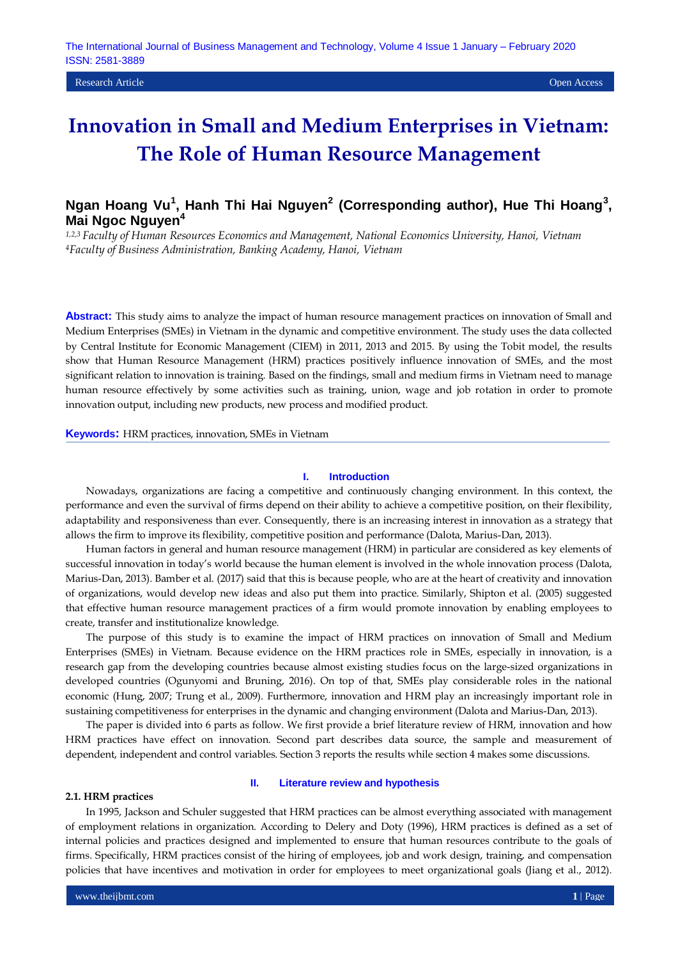# **Innovation in Small and Medium Enterprises in Vietnam: The Role of Human Resource Management**

# Ngan Hoang Vu<sup>1</sup>, Hanh Thi Hai Nguyen<sup>2</sup> (Corresponding author), Hue Thi Hoang<sup>3</sup>, **Mai Ngoc Nguyen<sup>4</sup>**

*1,2,3 Faculty of Human Resources Economics and Management, National Economics University, Hanoi, Vietnam <sup>4</sup>Faculty of Business Administration, Banking Academy, Hanoi, Vietnam*

**Abstract:** This study aims to analyze the impact of human resource management practices on innovation of Small and Medium Enterprises (SMEs) in Vietnam in the dynamic and competitive environment. The study uses the data collected by Central Institute for Economic Management (CIEM) in 2011, 2013 and 2015. By using the Tobit model, the results show that Human Resource Management (HRM) practices positively influence innovation of SMEs, and the most significant relation to innovation is training. Based on the findings, small and medium firms in Vietnam need to manage human resource effectively by some activities such as training, union, wage and job rotation in order to promote innovation output, including new products, new process and modified product.

**Keywords:** HRM practices, innovation, SMEs in Vietnam

## **I. Introduction**

Nowadays, organizations are facing a competitive and continuously changing environment. In this context, the performance and even the survival of firms depend on their ability to achieve a competitive position, on their flexibility, adaptability and responsiveness than ever. Consequently, there is an increasing interest in innovation as a strategy that allows the firm to improve its flexibility, competitive position and performance (Dalota, Marius-Dan, 2013).

Human factors in general and human resource management (HRM) in particular are considered as key elements of successful innovation in today's world because the human element is involved in the whole innovation process (Dalota, Marius-Dan, 2013). Bamber et al. (2017) said that this is because people, who are at the heart of creativity and innovation of organizations, would develop new ideas and also put them into practice. Similarly, Shipton et al. (2005) suggested that effective human resource management practices of a firm would promote innovation by enabling employees to create, transfer and institutionalize knowledge.

The purpose of this study is to examine the impact of HRM practices on innovation of Small and Medium Enterprises (SMEs) in Vietnam. Because evidence on the HRM practices role in SMEs, especially in innovation, is a research gap from the developing countries because almost existing studies focus on the large-sized organizations in developed countries (Ogunyomi and Bruning, 2016). On top of that, SMEs play considerable roles in the national economic (Hung, 2007; Trung et al., 2009). Furthermore, innovation and HRM play an increasingly important role in sustaining competitiveness for enterprises in the dynamic and changing environment (Dalota and Marius-Dan, 2013).

The paper is divided into 6 parts as follow. We first provide a brief literature review of HRM, innovation and how HRM practices have effect on innovation. Second part describes data source, the sample and measurement of dependent, independent and control variables. Section 3 reports the results while section 4 makes some discussions.

## **2.1. HRM practices**

# **II. Literature review and hypothesis**

In 1995, Jackson and Schuler suggested that HRM practices can be almost everything associated with management of employment relations in organization. According to Delery and Doty (1996), HRM practices is defined as a set of internal policies and practices designed and implemented to ensure that human resources contribute to the goals of firms. Specifically, HRM practices consist of the hiring of employees, job and work design, training, and compensation policies that have incentives and motivation in order for employees to meet organizational goals (Jiang et al., 2012).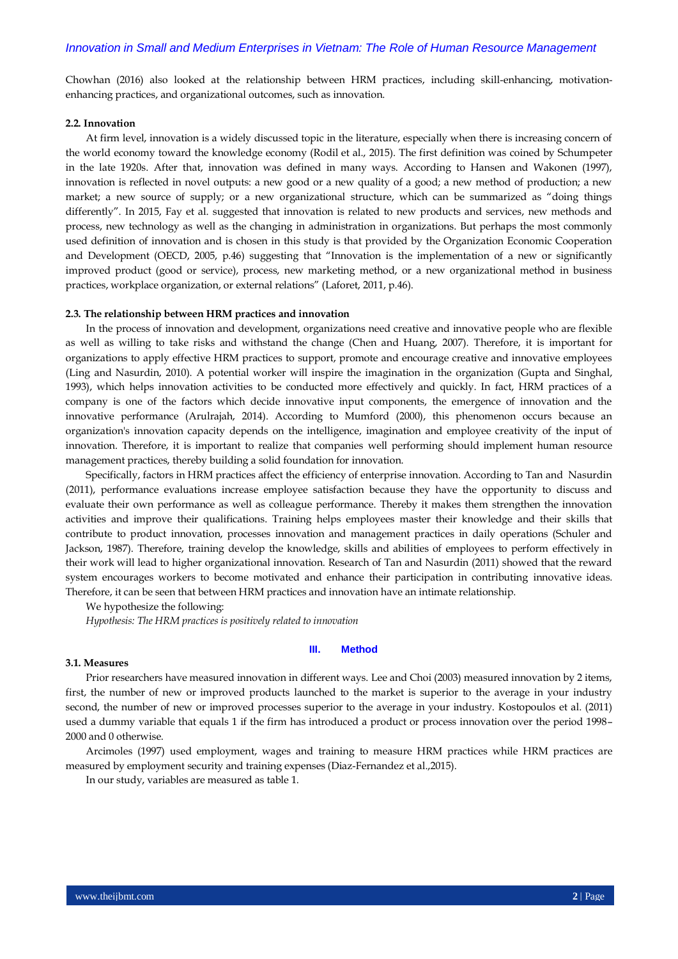Chowhan (2016) also looked at the relationship between HRM practices, including skill-enhancing, motivationenhancing practices, and organizational outcomes, such as innovation.

#### **2.2. Innovation**

At firm level, innovation is a widely discussed topic in the literature, especially when there is increasing concern of the world economy toward the knowledge economy (Rodil et al., 2015). The first definition was coined by Schumpeter in the late 1920s. After that, innovation was defined in many ways. According to Hansen and Wakonen (1997), innovation is reflected in novel outputs: a new good or a new quality of a good; a new method of production; a new market; a new source of supply; or a new organizational structure, which can be summarized as "doing things differently". In 2015, Fay et al. suggested that innovation is related to new products and services, new methods and process, new technology as well as the changing in administration in organizations. But perhaps the most commonly used definition of innovation and is chosen in this study is that provided by the Organization Economic Cooperation and Development (OECD, 2005, p.46) suggesting that "Innovation is the implementation of a new or significantly improved product (good or service), process, new marketing method, or a new organizational method in business practices, workplace organization, or external relations" (Laforet, 2011, p.46).

#### **2.3. The relationship between HRM practices and innovation**

In the process of innovation and development, organizations need creative and innovative people who are flexible as well as willing to take risks and withstand the change (Chen and Huang, 2007). Therefore, it is important for organizations to apply effective HRM practices to support, promote and encourage creative and innovative employees (Ling and Nasurdin, 2010). A potential worker will inspire the imagination in the organization (Gupta and Singhal, 1993), which helps innovation activities to be conducted more effectively and quickly. In fact, HRM practices of a company is one of the factors which decide innovative input components, the emergence of innovation and the innovative performance (Arulrajah, 2014). According to Mumford (2000), this phenomenon occurs because an organization's innovation capacity depends on the intelligence, imagination and employee creativity of the input of innovation. Therefore, it is important to realize that companies well performing should implement human resource management practices, thereby building a solid foundation for innovation.

Specifically, factors in HRM practices affect the efficiency of enterprise innovation. According to Tan and Nasurdin (2011), performance evaluations increase employee satisfaction because they have the opportunity to discuss and evaluate their own performance as well as colleague performance. Thereby it makes them strengthen the innovation activities and improve their qualifications. Training helps employees master their knowledge and their skills that contribute to product innovation, processes innovation and management practices in daily operations (Schuler and Jackson, 1987). Therefore, training develop the knowledge, skills and abilities of employees to perform effectively in their work will lead to higher organizational innovation. Research of Tan and Nasurdin (2011) showed that the reward system encourages workers to become motivated and enhance their participation in contributing innovative ideas. Therefore, it can be seen that between HRM practices and innovation have an intimate relationship.

We hypothesize the following:

*Hypothesis: The HRM practices is positively related to innovation* 

#### **III. Method**

#### **3.1. Measures**

Prior researchers have measured innovation in different ways. Lee and Choi (2003) measured innovation by 2 items, first, the number of new or improved products launched to the market is superior to the average in your industry second, the number of new or improved processes superior to the average in your industry. Kostopoulos et al. (2011) used a dummy variable that equals 1 if the firm has introduced a product or process innovation over the period 1998– 2000 and 0 otherwise.

Arcimoles (1997) used employment, wages and training to measure HRM practices while HRM practices are measured by employment security and training expenses (Diaz-Fernandez et al.,2015).

In our study, variables are measured as table 1.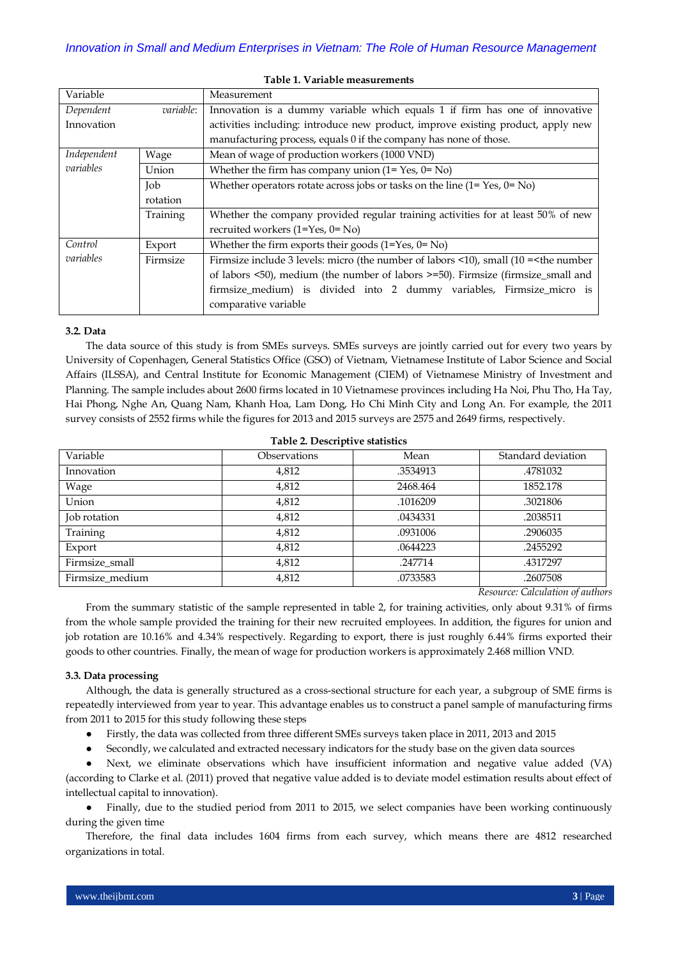| Variable    |                  | Measurement                                                                           |  |  |
|-------------|------------------|---------------------------------------------------------------------------------------|--|--|
| Dependent   | <i>variable:</i> | Innovation is a dummy variable which equals 1 if firm has one of innovative           |  |  |
| Innovation  |                  | activities including: introduce new product, improve existing product, apply new      |  |  |
|             |                  | manufacturing process, equals 0 if the company has none of those.                     |  |  |
| Independent | Wage             | Mean of wage of production workers (1000 VND)                                         |  |  |
| variables   | Union            | Whether the firm has company union $(1 = Yes, 0 = No)$                                |  |  |
|             | Job              | Whether operators rotate across jobs or tasks on the line $(1 = Yes, 0 = No)$         |  |  |
|             | rotation         |                                                                                       |  |  |
|             | Training         | Whether the company provided regular training activities for at least 50% of new      |  |  |
|             |                  | recruited workers $(1=Yes, 0=No)$                                                     |  |  |
| Control     | Export           | Whether the firm exports their goods $(1=Yes, 0=No)$                                  |  |  |
| variables   | Firmsize         | Firmsize include 3 levels: micro (the number of labors <10), small (10 = < the number |  |  |
|             |                  | of labors <50), medium (the number of labors >=50). Firmsize (firmsize_small and      |  |  |
|             |                  | firmsize_medium) is divided into 2 dummy variables, Firmsize_micro is                 |  |  |
|             |                  | comparative variable                                                                  |  |  |
|             |                  |                                                                                       |  |  |

## **Table 1. Variable measurements**

# **3.2. Data**

The data source of this study is from SMEs surveys. SMEs surveys are jointly carried out for every two years by University of Copenhagen, General Statistics Office (GSO) of Vietnam, Vietnamese Institute of Labor Science and Social Affairs (ILSSA), and Central Institute for Economic Management (CIEM) of Vietnamese Ministry of Investment and Planning. The sample includes about 2600 firms located in 10 Vietnamese provinces including Ha Noi, Phu Tho, Ha Tay, Hai Phong, Nghe An, Quang Nam, Khanh Hoa, Lam Dong, Ho Chi Minh City and Long An. For example, the 2011 survey consists of 2552 firms while the figures for 2013 and 2015 surveys are 2575 and 2649 firms, respectively.

| Variable        | <b>Observations</b> | Mean     | Standard deviation |
|-----------------|---------------------|----------|--------------------|
| Innovation      | 4,812               | .3534913 | .4781032           |
| Wage            | 4,812               | 2468.464 | 1852.178           |
| Union           | 4,812               | .1016209 | .3021806           |
| Job rotation    | 4,812               | .0434331 | .2038511           |
| Training        | 4,812               | .0931006 | .2906035           |
| Export          | 4,812               | .0644223 | .2455292           |
| Firmsize_small  | 4,812               | .247714  | .4317297           |
| Firmsize_medium | 4,812               | .0733583 | .2607508           |

## **Table 2. Descriptive statistics**

*Resource: Calculation of authors*

From the summary statistic of the sample represented in table 2, for training activities, only about 9.31% of firms from the whole sample provided the training for their new recruited employees. In addition, the figures for union and job rotation are 10.16% and 4.34% respectively. Regarding to export, there is just roughly 6.44% firms exported their goods to other countries. Finally, the mean of wage for production workers is approximately 2.468 million VND.

# **3.3. Data processing**

Although, the data is generally structured as a cross-sectional structure for each year, a subgroup of SME firms is repeatedly interviewed from year to year. This advantage enables us to construct a panel sample of manufacturing firms from 2011 to 2015 for this study following these steps

● Firstly, the data was collected from three different SMEs surveys taken place in 2011, 2013 and 2015

Secondly, we calculated and extracted necessary indicators for the study base on the given data sources

Next, we eliminate observations which have insufficient information and negative value added (VA) (according to Clarke et al. (2011) proved that negative value added is to deviate model estimation results about effect of intellectual capital to innovation).

• Finally, due to the studied period from 2011 to 2015, we select companies have been working continuously during the given time

Therefore, the final data includes 1604 firms from each survey, which means there are 4812 researched organizations in total.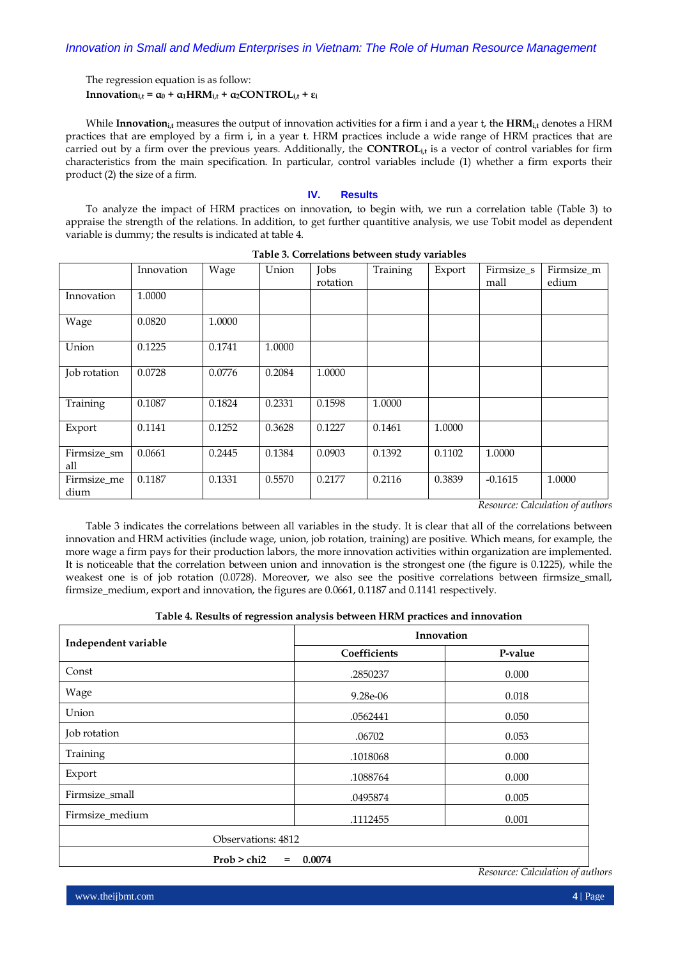# The regression equation is as follow:

**Innovation**<sub>i,t</sub> **=**  $\alpha_0$  **+**  $\alpha_1$ **HRM**<sub>i,t</sub></sub> **+**  $\alpha_2$ **CONTROL**<sub>i,t</sub></sub> **+**  $\epsilon_i$ 

While **Innovationi,t** measures the output of innovation activities for a firm i and a year t, the **HRMi,t** denotes a HRM practices that are employed by a firm i, in a year t. HRM practices include a wide range of HRM practices that are carried out by a firm over the previous years. Additionally, the **CONTROL**<sub>it</sub> is a vector of control variables for firm characteristics from the main specification. In particular, control variables include (1) whether a firm exports their product (2) the size of a firm.

# **IV. Results**

To analyze the impact of HRM practices on innovation, to begin with, we run a correlation table (Table 3) to appraise the strength of the relations. In addition, to get further quantitive analysis, we use Tobit model as dependent variable is dummy; the results is indicated at table 4.

|                     | Innovation | Wage   | Union  | Jobs<br>rotation | Training | Export | Firmsize s<br>mall | Firmsize m<br>edium |
|---------------------|------------|--------|--------|------------------|----------|--------|--------------------|---------------------|
| Innovation          | 1.0000     |        |        |                  |          |        |                    |                     |
| Wage                | 0.0820     | 1.0000 |        |                  |          |        |                    |                     |
| Union               | 0.1225     | 0.1741 | 1.0000 |                  |          |        |                    |                     |
| Job rotation        | 0.0728     | 0.0776 | 0.2084 | 1.0000           |          |        |                    |                     |
| Training            | 0.1087     | 0.1824 | 0.2331 | 0.1598           | 1.0000   |        |                    |                     |
| Export              | 0.1141     | 0.1252 | 0.3628 | 0.1227           | 0.1461   | 1.0000 |                    |                     |
| Firmsize_sm<br>all  | 0.0661     | 0.2445 | 0.1384 | 0.0903           | 0.1392   | 0.1102 | 1.0000             |                     |
| Firmsize_me<br>dium | 0.1187     | 0.1331 | 0.5570 | 0.2177           | 0.2116   | 0.3839 | $-0.1615$          | 1.0000              |

| Table 3. Correlations between study variables |  |  |
|-----------------------------------------------|--|--|
|                                               |  |  |

*Resource: Calculation of authors*

Table 3 indicates the correlations between all variables in the study. It is clear that all of the correlations between innovation and HRM activities (include wage, union, job rotation, training) are positive. Which means, for example, the more wage a firm pays for their production labors, the more innovation activities within organization are implemented. It is noticeable that the correlation between union and innovation is the strongest one (the figure is 0.1225), while the weakest one is of job rotation (0.0728). Moreover, we also see the positive correlations between firmsize\_small, firmsize\_medium, export and innovation, the figures are 0.0661, 0.1187 and 0.1141 respectively.

| Independent variable | Innovation   |         |  |  |
|----------------------|--------------|---------|--|--|
|                      | Coefficients | P-value |  |  |
| Const                | .2850237     | 0.000   |  |  |
| Wage                 | 9.28e-06     | 0.018   |  |  |
| Union                | .0562441     | 0.050   |  |  |
| Job rotation         | .06702       | 0.053   |  |  |
| Training             | .1018068     | 0.000   |  |  |
| Export               | .1088764     | 0.000   |  |  |
| Firmsize_small       | .0495874     | 0.005   |  |  |
| Firmsize_medium      | .1112455     | 0.001   |  |  |
| Observations: 4812   |              |         |  |  |
| Prob > chi2<br>$=$   | 0.0074       |         |  |  |

*Resource: Calculation of authors*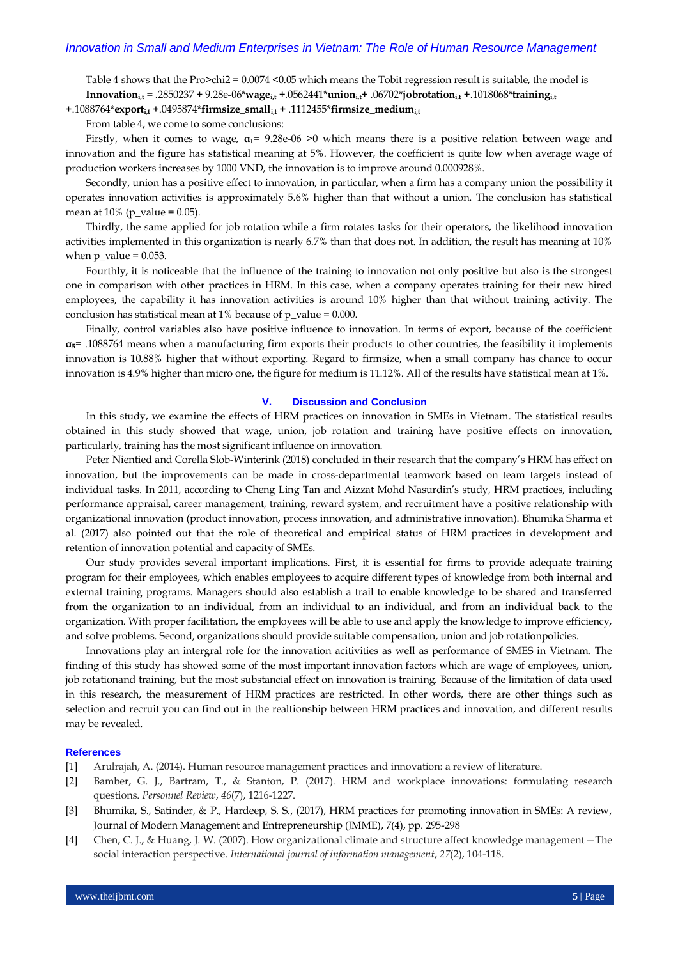Table 4 shows that the Pro>chi2 = 0.0074 <0.05 which means the Tobit regression result is suitable, the model is **Innovation**<sub>is</sub> **+** .2850237 **+** 9.28e-06\***wage**<sub>is</sub> **+** .0562441\***union**<sub>is</sub>**+** .06702\***jobrotation**<sub>is</sub>**+** .1018068\***training**<sub>is</sub>

**+**.1088764\***exporti,t +**.0495874\***firmsize\_smalli,t +** .1112455\***firmsize\_mediumi,t**

From table 4, we come to some conclusions:

Firstly, when it comes to wage, **α1=** 9.28e-06 >0 which means there is a positive relation between wage and innovation and the figure has statistical meaning at 5%. However, the coefficient is quite low when average wage of production workers increases by 1000 VND, the innovation is to improve around 0.000928%.

Secondly, union has a positive effect to innovation, in particular, when a firm has a company union the possibility it operates innovation activities is approximately 5.6% higher than that without a union. The conclusion has statistical mean at  $10\%$  (p\_value = 0.05).

Thirdly, the same applied for job rotation while a firm rotates tasks for their operators, the likelihood innovation activities implemented in this organization is nearly 6.7% than that does not. In addition, the result has meaning at 10% when  $p_value = 0.053$ .

Fourthly, it is noticeable that the influence of the training to innovation not only positive but also is the strongest one in comparison with other practices in HRM. In this case, when a company operates training for their new hired employees, the capability it has innovation activities is around 10% higher than that without training activity. The conclusion has statistical mean at 1% because of  $p_value = 0.000$ .

Finally, control variables also have positive influence to innovation. In terms of export, because of the coefficient  $\alpha$ <sup>5</sup> = .1088764 means when a manufacturing firm exports their products to other countries, the feasibility it implements innovation is 10.88% higher that without exporting. Regard to firmsize, when a small company has chance to occur innovation is 4.9% higher than micro one, the figure for medium is 11.12%. All of the results have statistical mean at 1%.

#### **V. Discussion and Conclusion**

In this study, we examine the effects of HRM practices on innovation in SMEs in Vietnam. The statistical results obtained in this study showed that wage, union, job rotation and training have positive effects on innovation, particularly, training has the most significant influence on innovation.

Peter Nientied and Corella Slob-Winterink (2018) concluded in their research that the company's HRM has effect on innovation, but the improvements can be made in cross-departmental teamwork based on team targets instead of individual tasks. In 2011, according to Cheng Ling Tan and Aizzat Mohd Nasurdin's study, HRM practices, including performance appraisal, career management, training, reward system, and recruitment have a positive relationship with organizational innovation (product innovation, process innovation, and administrative innovation). Bhumika Sharma et al. (2017) also pointed out that the role of theoretical and empirical status of HRM practices in development and retention of innovation potential and capacity of SMEs.

Our study provides several important implications. First, it is essential for firms to provide adequate training program for their employees, which enables employees to acquire different types of knowledge from both internal and external training programs. Managers should also establish a trail to enable knowledge to be shared and transferred from the organization to an individual, from an individual to an individual, and from an individual back to the organization. With proper facilitation, the employees will be able to use and apply the knowledge to improve efficiency, and solve problems. Second, organizations should provide suitable compensation, union and job rotationpolicies.

Innovations play an intergral role for the innovation acitivities as well as performance of SMES in Vietnam. The finding of this study has showed some of the most important innovation factors which are wage of employees, union, job rotationand training, but the most substancial effect on innovation is training. Because of the limitation of data used in this research, the measurement of HRM practices are restricted. In other words, there are other things such as selection and recruit you can find out in the realtionship between HRM practices and innovation, and different results may be revealed.

## **References**

- [1] Arulrajah, A. (2014). Human resource management practices and innovation: a review of literature.
- [2] Bamber, G. J., Bartram, T., & Stanton, P. (2017). HRM and workplace innovations: formulating research questions. *Personnel Review*, *46*(7), 1216-1227.
- [3] Bhumika, S., Satinder, & P., Hardeep, S. S., (2017), HRM practices for promoting innovation in SMEs: A review, Journal of Modern Management and Entrepreneurship (JMME), 7(4), pp. 295-298
- [4] Chen, C. J., & Huang, J. W. (2007). How organizational climate and structure affect knowledge management—The social interaction perspective. *International journal of information management*, *27*(2), 104-118.